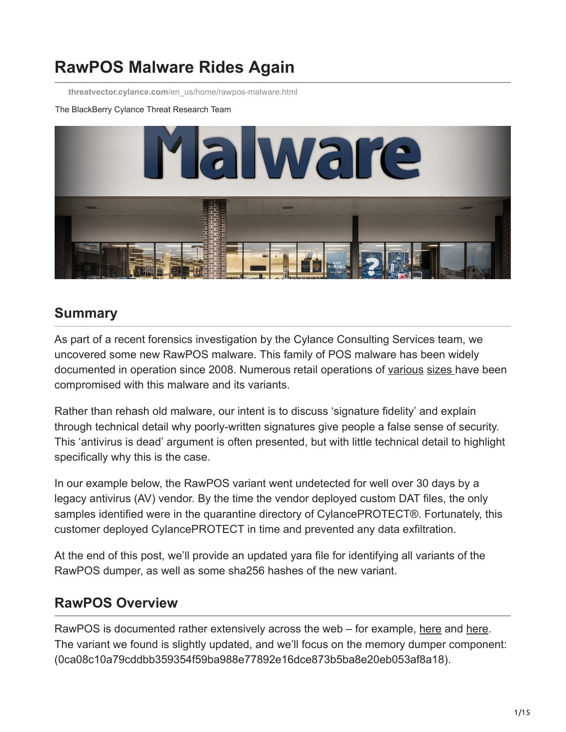# **RawPOS Malware Rides Again**

**threatvector.cylance.com**[/en\\_us/home/rawpos-malware.html](https://threatvector.cylance.com/en_us/home/rawpos-malware.html)

#### The BlackBerry Cylance Threat Research Team



### **Summary**

As part of a recent forensics investigation by the Cylance Consulting Services team, we uncovered some new RawPOS malware. This family of POS malware has been widely documented in operation since 2008. Numerous retail operations of [various](http://www.securityweek.com/cybercriminals-use-rawpos-malware-target-hotels-casinos) [sizes h](http://www.securityweek.com/hackers-compromised-goodwill-vendor-more-year)ave been compromised with this malware and its variants.

Rather than rehash old malware, our intent is to discuss 'signature fidelity' and explain through technical detail why poorly-written signatures give people a false sense of security. This 'antivirus is dead' argument is often presented, but with little technical detail to highlight specifically why this is the case.

In our example below, the RawPOS variant went undetected for well over 30 days by a legacy antivirus (AV) vendor. By the time the vendor deployed custom DAT files, the only samples identified were in the quarantine directory of CylancePROTECT®. Fortunately, this customer deployed CylancePROTECT in time and prevented any data exfiltration.

At the end of this post, we'll provide an updated yara file for identifying all variants of the RawPOS dumper, as well as some sha256 hashes of the new variant.

### **RawPOS Overview**

RawPOS is documented rather extensively across the web – for example, [here](https://www.alienvault.com/blogs/security-essentials/a-newer-variant-of-rawpos-in-depth) and [here.](http://sjc1-te-ftp.trendmicro.com/images/tex/pdf/RawPOS%20Technical%20Brief.pdf) The variant we found is slightly updated, and we'll focus on the memory dumper component: (0ca08c10a79cddbb359354f59ba988e77892e16dce873b5ba8e20eb053af8a18).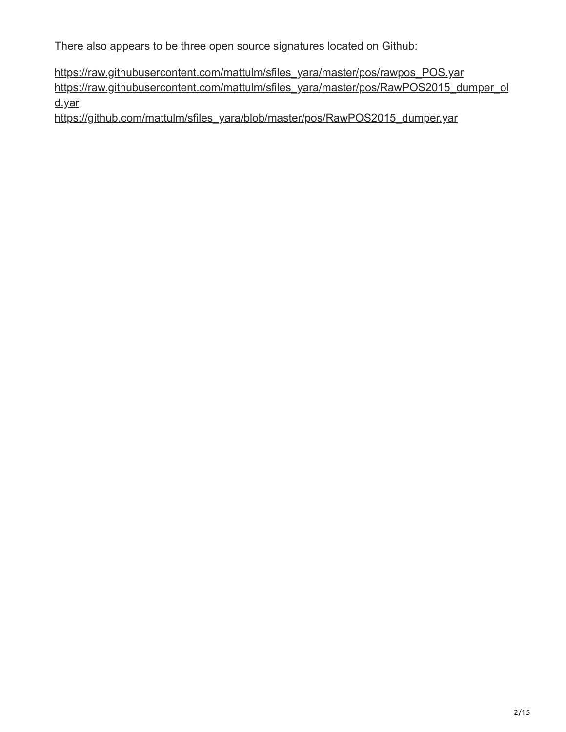There also appears to be three open source signatures located on Github:

[https://raw.githubusercontent.com/mattulm/sfiles\\_yara/master/pos/rawpos\\_POS.yar](https://raw.githubusercontent.com/mattulm/sfiles_yara/master/pos/rawpos_POS.yar) [https://raw.githubusercontent.com/mattulm/sfiles\\_yara/master/pos/RawPOS2015\\_dumper\\_ol](https://raw.githubusercontent.com/mattulm/sfiles_yara/master/pos/RawPOS2015_dumper_old.yar) d.yar

[https://github.com/mattulm/sfiles\\_yara/blob/master/pos/RawPOS2015\\_dumper.yar](https://github.com/mattulm/sfiles_yara/blob/master/pos/RawPOS2015_dumper.yar)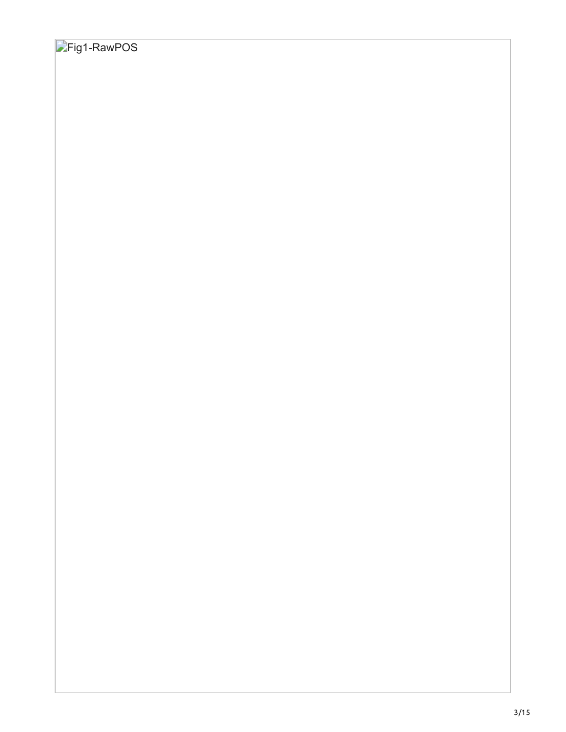## **Fig1-RawPOS**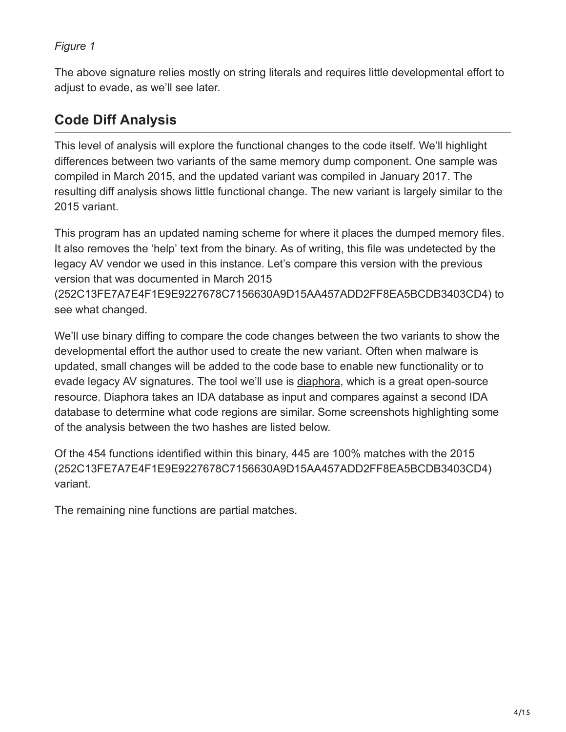The above signature relies mostly on string literals and requires little developmental effort to adjust to evade, as we'll see later.

### **Code Diff Analysis**

This level of analysis will explore the functional changes to the code itself. We'll highlight differences between two variants of the same memory dump component. One sample was compiled in March 2015, and the updated variant was compiled in January 2017. The resulting diff analysis shows little functional change. The new variant is largely similar to the 2015 variant.

This program has an updated naming scheme for where it places the dumped memory files. It also removes the 'help' text from the binary. As of writing, this file was undetected by the legacy AV vendor we used in this instance. Let's compare this version with the previous version that was documented in March 2015

(252C13FE7A7E4F1E9E9227678C7156630A9D15AA457ADD2FF8EA5BCDB3403CD4) to see what changed.

We'll use binary diffing to compare the code changes between the two variants to show the developmental effort the author used to create the new variant. Often when malware is updated, small changes will be added to the code base to enable new functionality or to evade legacy AV signatures. The tool we'll use is [diaphora](https://github.com/joxeankoret/diaphora), which is a great open-source resource. Diaphora takes an IDA database as input and compares against a second IDA database to determine what code regions are similar. Some screenshots highlighting some of the analysis between the two hashes are listed below.

Of the 454 functions identified within this binary, 445 are 100% matches with the 2015 (252C13FE7A7E4F1E9E9227678C7156630A9D15AA457ADD2FF8EA5BCDB3403CD4) variant.

The remaining nine functions are partial matches.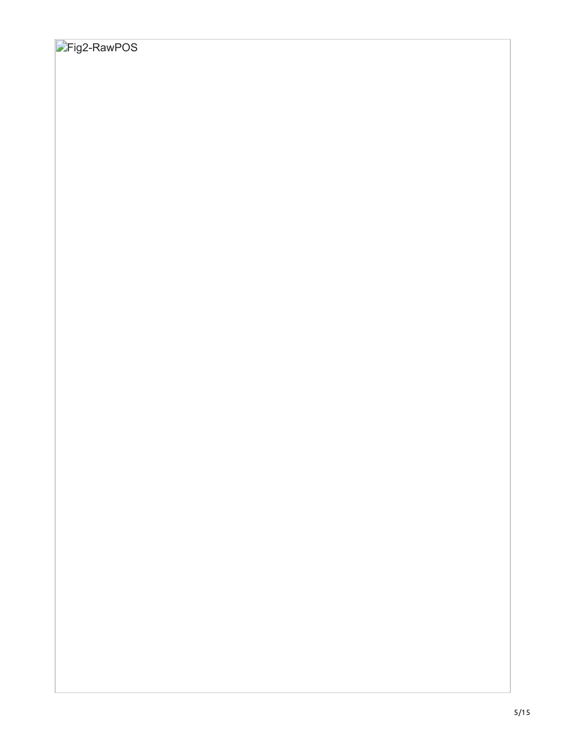## **Fig2-RawPOS**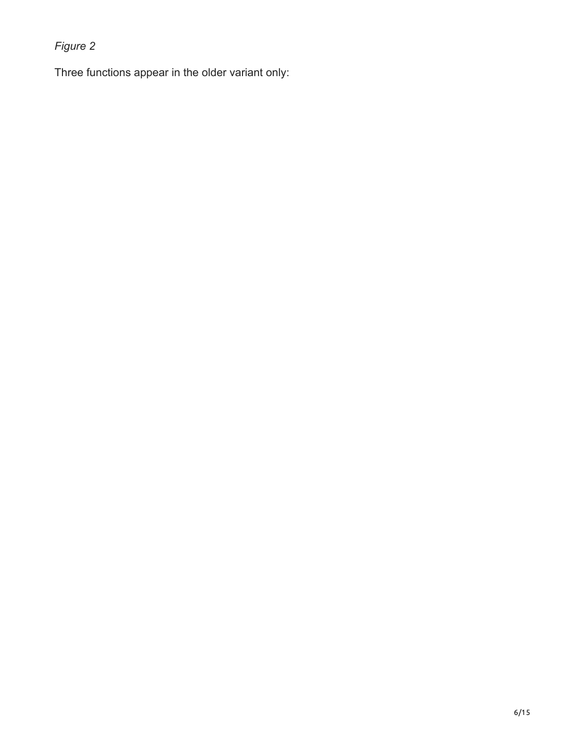Three functions appear in the older variant only: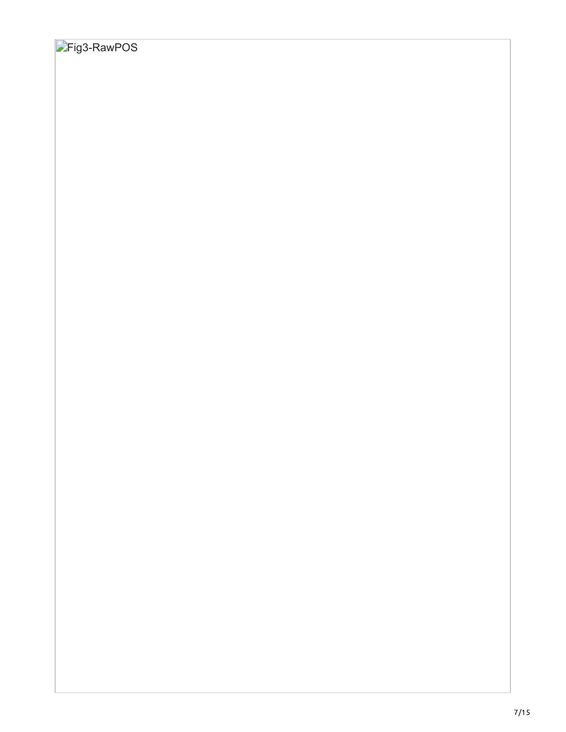## **Fig3-RawPOS**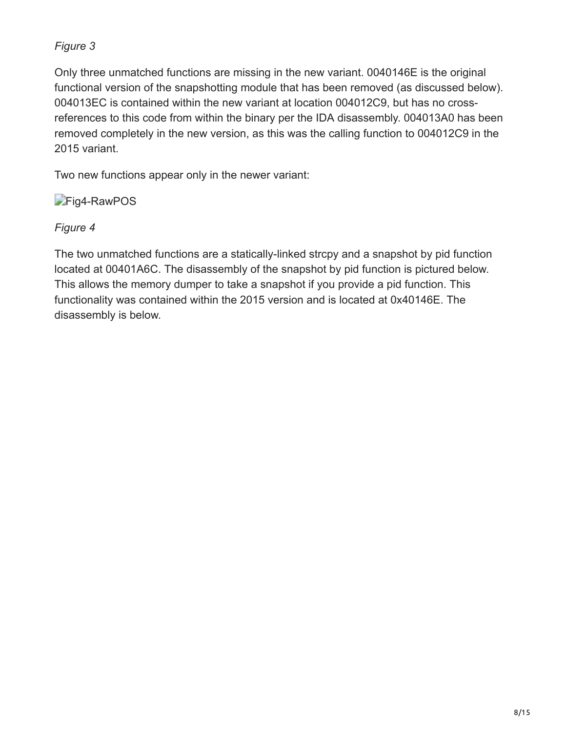Only three unmatched functions are missing in the new variant. 0040146E is the original functional version of the snapshotting module that has been removed (as discussed below). 004013EC is contained within the new variant at location 004012C9, but has no crossreferences to this code from within the binary per the IDA disassembly. 004013A0 has been removed completely in the new version, as this was the calling function to 004012C9 in the 2015 variant.

Two new functions appear only in the newer variant:

**Fig4-RawPOS** 

### *Figure 4*

The two unmatched functions are a statically-linked strcpy and a snapshot by pid function located at 00401A6C. The disassembly of the snapshot by pid function is pictured below. This allows the memory dumper to take a snapshot if you provide a pid function. This functionality was contained within the 2015 version and is located at 0x40146E. The disassembly is below.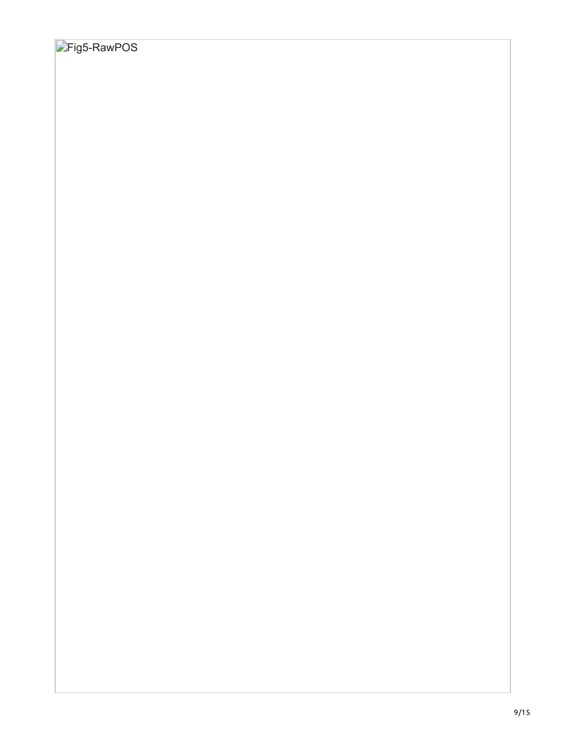## **Fig5-RawPOS**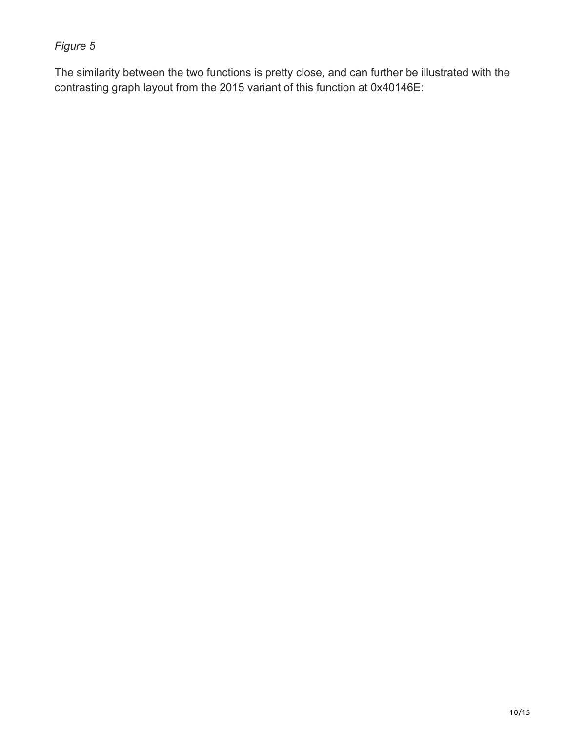The similarity between the two functions is pretty close, and can further be illustrated with the contrasting graph layout from the 2015 variant of this function at 0x40146E: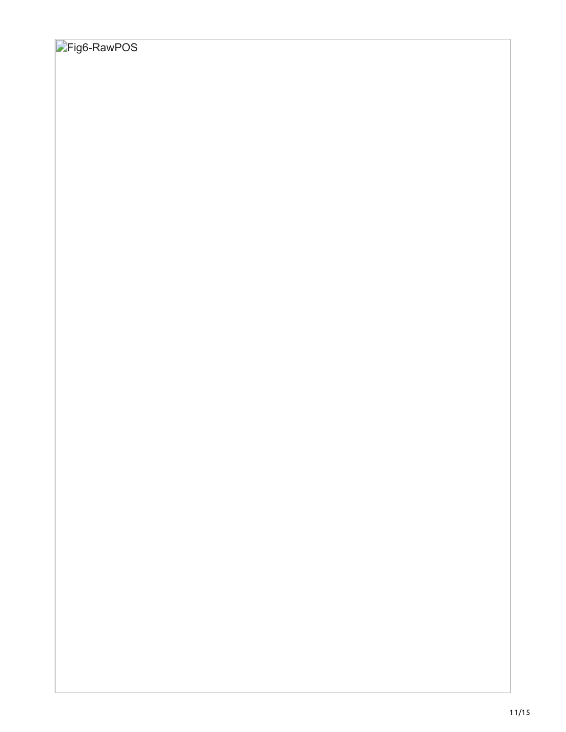## **Fig6-RawPOS**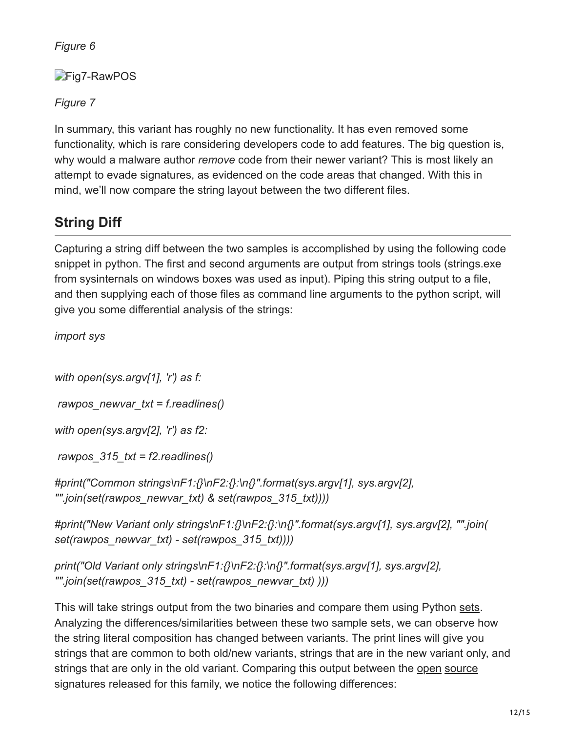**Fig7-RawPOS** 

*Figure 7*

In summary, this variant has roughly no new functionality. It has even removed some functionality, which is rare considering developers code to add features. The big question is, why would a malware author *remove* code from their newer variant? This is most likely an attempt to evade signatures, as evidenced on the code areas that changed. With this in mind, we'll now compare the string layout between the two different files.

## **String Diff**

Capturing a string diff between the two samples is accomplished by using the following code snippet in python. The first and second arguments are output from strings tools (strings.exe from sysinternals on windows boxes was used as input). Piping this string output to a file, and then supplying each of those files as command line arguments to the python script, will give you some differential analysis of the strings:

*import sys*

*with open(sys.argv[1], 'r') as f:*

 *rawpos\_newvar\_txt = f.readlines()*

*with open(sys.argv[2], 'r') as f2:*

 *rawpos\_315\_txt = f2.readlines()*

*#print("Common strings\nF1:{}\nF2:{}:\n{}".format(sys.argv[1], sys.argv[2], "".join(set(rawpos\_newvar\_txt) & set(rawpos\_315\_txt))))*

*#print("New Variant only strings\nF1:{}\nF2:{}:\n{}".format(sys.argv[1], sys.argv[2], "".join( set(rawpos\_newvar\_txt) - set(rawpos\_315\_txt))))*

*print("Old Variant only strings\nF1:{}\nF2:{}:\n{}".format(sys.argv[1], sys.argv[2], "".join(set(rawpos\_315\_txt) - set(rawpos\_newvar\_txt) )))*

This will take strings output from the two binaries and compare them using Python [sets](https://docs.python.org/3/tutorial/datastructures.html#sets). Analyzing the differences/similarities between these two sample sets, we can observe how the string literal composition has changed between variants. The print lines will give you strings that are common to both old/new variants, strings that are in the new variant only, and strings that are only in the old variant. Comparing this output between the [open](https://github.com/lukaszbb/Loki/blob/master/optional_signatures/public_crime_win_rawpos_POS.yar) [source](https://github.com/mattulm/sfiles_yara/blob/master/pos/RawPOS2015_dumper_old.yar) signatures released for this family, we notice the following differences: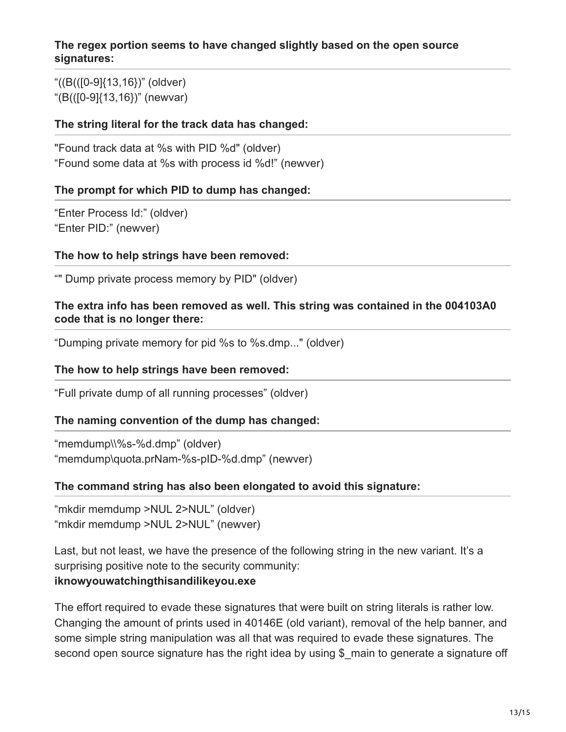#### **The regex portion seems to have changed slightly based on the open source signatures:**

"((B(([0-9]{13,16})" (oldver) "(B(([0-9]{13,16})" (newvar)

#### **The string literal for the track data has changed:**

"Found track data at %s with PID %d" (oldver) "Found some data at %s with process id %d!" (newver)

#### **The prompt for which PID to dump has changed:**

"Enter Process Id:" (oldver) "Enter PID:" (newver)

#### **The how to help strings have been removed:**

"" Dump private process memory by PID" (oldver)

#### **The extra info has been removed as well. This string was contained in the 004103A0 code that is no longer there:**

"Dumping private memory for pid %s to %s.dmp..." (oldver)

#### **The how to help strings have been removed:**

"Full private dump of all running processes" (oldver)

#### **The naming convention of the dump has changed:**

"memdump\\%s-%d.dmp" (oldver) "memdump\quota.prNam-%s-pID-%d.dmp" (newver)

#### **The command string has also been elongated to avoid this signature:**

"mkdir memdump >NUL 2>NUL" (oldver) "mkdir memdump >NUL 2>NUL" (newver)

Last, but not least, we have the presence of the following string in the new variant. It's a surprising positive note to the security community: **iknowyouwatchingthisandilikeyou.exe**

The effort required to evade these signatures that were built on string literals is rather low. Changing the amount of prints used in 40146E (old variant), removal of the help banner, and some simple string manipulation was all that was required to evade these signatures. The second open source signature has the right idea by using \$ main to generate a signature off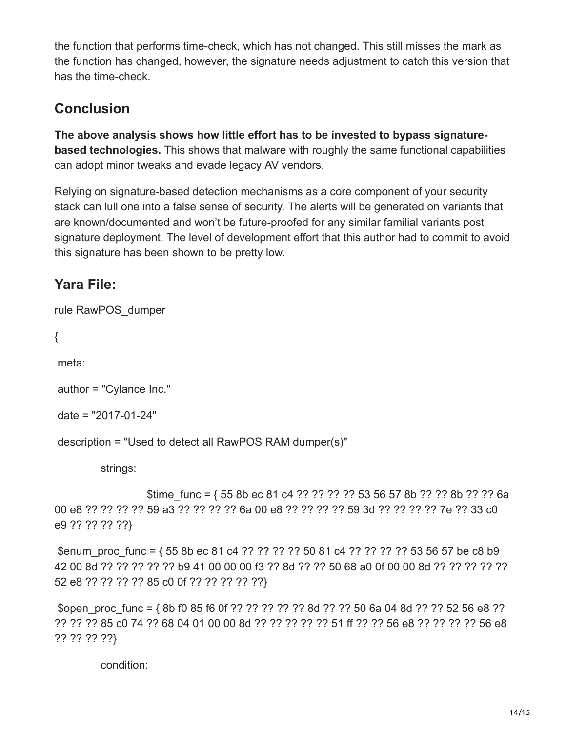the function that performs time-check, which has not changed. This still misses the mark as the function has changed, however, the signature needs adjustment to catch this version that has the time-check.

### **Conclusion**

**The above analysis shows how little effort has to be invested to bypass signaturebased technologies.** This shows that malware with roughly the same functional capabilities can adopt minor tweaks and evade legacy AV vendors.

Relying on signature-based detection mechanisms as a core component of your security stack can lull one into a false sense of security. The alerts will be generated on variants that are known/documented and won't be future-proofed for any similar familial variants post signature deployment. The level of development effort that this author had to commit to avoid this signature has been shown to be pretty low.

### **Yara File:**

rule RawPOS\_dumper

{

meta:

author = "Cylance Inc."

date = "2017-01-24"

description = "Used to detect all RawPOS RAM dumper(s)"

strings:

\$time func =  $\{ 55 8b$  ec 81 c4 ?? ?? ?? ?? 53 56 57 8b ?? ?? 8b ?? ?? 6a 00 e8 ?? ?? ?? ?? 59 a3 ?? ?? ?? ?? 6a 00 e8 ?? ?? ?? ?? 59 3d ?? ?? ?? ?? 7e ?? 33 c0 e9 ?? ?? ?? ??}

\$enum\_proc\_func = { 55 8b ec 81 c4 ?? ?? ?? ?? 50 81 c4 ?? ?? ?? ?? 53 56 57 be c8 b9 42 00 8d ?? ?? ?? ?? ?? b9 41 00 00 00 f3 ?? 8d ?? ?? 50 68 a0 0f 00 00 8d ?? ?? ?? ?? ?? 52 e8 ?? ?? ?? ?? 85 c0 0f ?? ?? ?? ?? ??}

 \$open\_proc\_func = { 8b f0 85 f6 0f ?? ?? ?? ?? ?? 8d ?? ?? 50 6a 04 8d ?? ?? 52 56 e8 ?? ?? ?? ?? 85 c0 74 ?? 68 04 01 00 00 8d ?? ?? ?? ?? ?? 51 ff ?? ?? 56 e8 ?? ?? ?? ?? 56 e8 ?? ?? ?? ??}

condition: